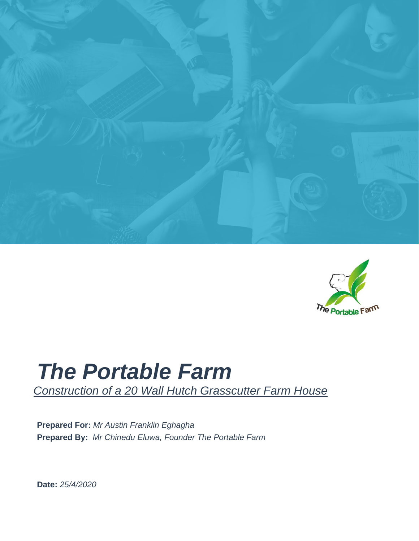



### *The Portable Farm*

*Construction of a 20 Wall Hutch Grasscutter Farm House*

**Prepared For:** *Mr Austin Franklin Eghagha* **Prepared By:** *Mr Chinedu Eluwa, Founder The Portable Farm*

**Date:** *25/4/2020*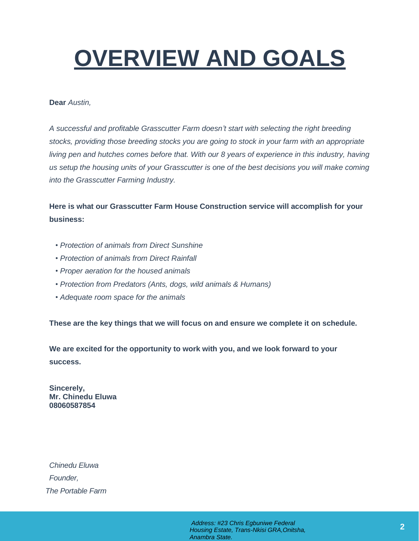# **OVERVIEW AND GOALS**

#### **Dear** *Austin,*

*A successful and profitable Grasscutter Farm doesn't start with selecting the right breeding stocks, providing those breeding stocks you are going to stock in your farm with an appropriate living pen and hutches comes before that. With our 8 years of experience in this industry, having us setup the housing units of your Grasscutter is one of the best decisions you will make coming into the Grasscutter Farming Industry.*

**Here is what our Grasscutter Farm House Construction service will accomplish for your business:** 

- *• Protection of animals from Direct Sunshine*
- *• Protection of animals from Direct Rainfall*
- *• Proper aeration for the housed animals*
- *• Protection from Predators (Ants, dogs, wild animals & Humans)*
- *• Adequate room space for the animals*

**These are the key things that we will focus on and ensure we complete it on schedule.**

**We are excited for the opportunity to work with you, and we look forward to your success.**

**Sincerely, Mr. Chinedu Eluwa 08060587854**

*Chinedu Eluwa Founder, The Portable Farm*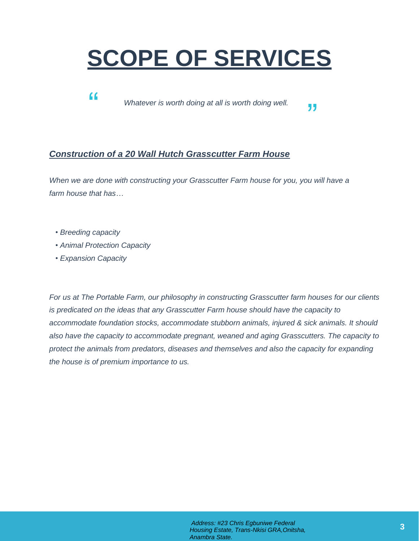# **SCOPE OF SERVICES**

" *Whatever is worth doing at all is worth doing well.* 

### *Construction of a 20 Wall Hutch Grasscutter Farm House*

*When we are done with constructing your Grasscutter Farm house for you, you will have a farm house that has…*

- *• Breeding capacity*
- *• Animal Protection Capacity*
- *• Expansion Capacity*

*For us at The Portable Farm, our philosophy in constructing Grasscutter farm houses for our clients is predicated on the ideas that any Grasscutter Farm house should have the capacity to accommodate foundation stocks, accommodate stubborn animals, injured & sick animals. It should also have the capacity to accommodate pregnant, weaned and aging Grasscutters. The capacity to protect the animals from predators, diseases and themselves and also the capacity for expanding the house is of premium importance to us.*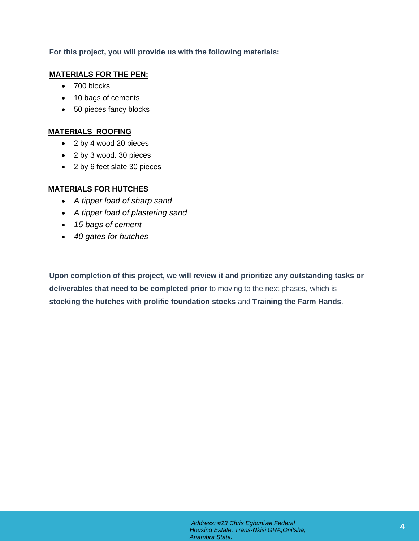### **For this project, you will provide us with the following materials:**

#### **MATERIALS FOR THE PEN:**

- 700 blocks
- 10 bags of cements
- 50 pieces fancy blocks

### **MATERIALS ROOFING**

- 2 by 4 wood 20 pieces
- 2 by 3 wood. 30 pieces
- 2 by 6 feet slate 30 pieces

### **MATERIALS FOR HUTCHES**

- *A tipper load of sharp sand*
- *A tipper load of plastering sand*
- *15 bags of cement*
- *40 gates for hutches*

**Upon completion of this project, we will review it and prioritize any outstanding tasks or deliverables that need to be completed prior** to moving to the next phases, which is **stocking the hutches with prolific foundation stocks** and **Training the Farm Hands**.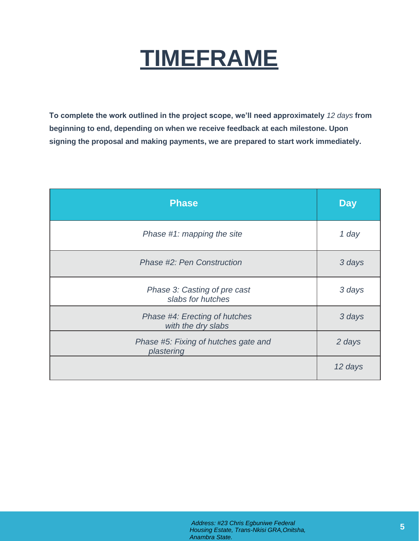# **TIMEFRAME**

**To complete the work outlined in the project scope, we'll need approximately** *12 days* **from beginning to end, depending on when we receive feedback at each milestone. Upon signing the proposal and making payments, we are prepared to start work immediately.**

| <b>Phase</b>                                        | <b>Day</b> |
|-----------------------------------------------------|------------|
| Phase #1: mapping the site                          | 1 day      |
| Phase #2: Pen Construction                          | 3 days     |
| Phase 3: Casting of pre cast<br>slabs for hutches   | 3 days     |
| Phase #4: Erecting of hutches<br>with the dry slabs | 3 days     |
| Phase #5: Fixing of hutches gate and<br>plastering  | 2 days     |
|                                                     | 12 days    |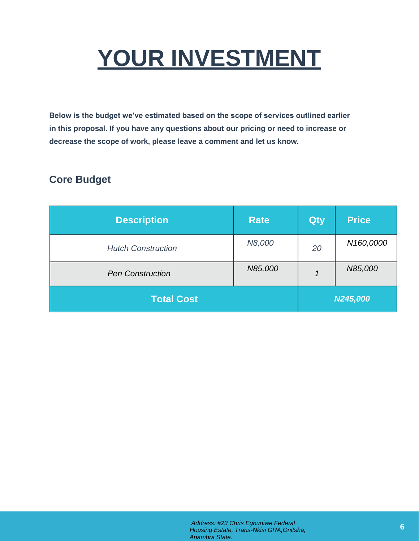# **YOUR INVESTMENT**

**Below is the budget we've estimated based on the scope of services outlined earlier in this proposal. If you have any questions about our pricing or need to increase or decrease the scope of work, please leave a comment and let us know.**

### **Core Budget**

| <b>Description</b>        | <b>Rate</b> | Qty | <b>Price</b> |
|---------------------------|-------------|-----|--------------|
| <b>Hutch Construction</b> | N8,000      | 20  | N160,0000    |
| <b>Pen Construction</b>   | N85,000     |     | N85,000      |
| <b>Total Cost</b>         | N245,000    |     |              |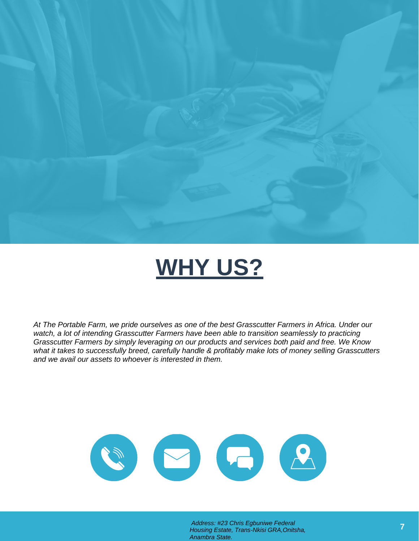

## **WHY US?**

*At The Portable Farm, we pride ourselves as one of the best Grasscutter Farmers in Africa. Under our watch, a lot of intending Grasscutter Farmers have been able to transition seamlessly to practicing Grasscutter Farmers by simply leveraging on our products and services both paid and free. We Know what it takes to successfully breed, carefully handle & profitably make lots of money selling Grasscutters and we avail our assets to whoever is interested in them.*



*Address: #23 Chris Egbuniwe Federal Housing Estate, Trans-Nkisi GRA,Onitsha, Anambra State.*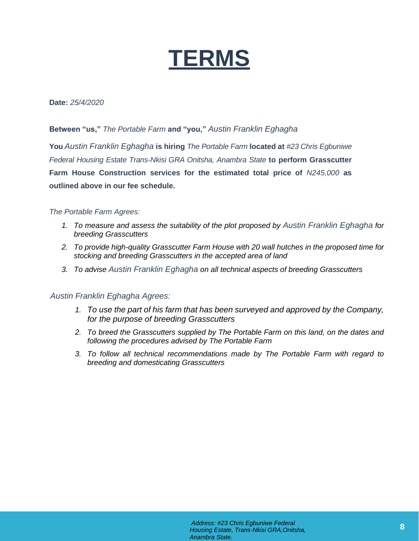

#### **Date:** *25/4/2020*

**Between "us,"** *The Portable Farm* **and "you,"** *Austin Franklin Eghagha*

**You** *Austin Franklin Eghagha* **is hiring** *The Portable Farm* **located at** *#23 Chris Egbuniwe Federal Housing Estate Trans-Nkisi GRA Onitsha, Anambra State* **to perform Grasscutter Farm House Construction services for the estimated total price of** *N245,000* **as outlined above in our fee schedule.**

#### *The Portable Farm Agrees:*

- *1. To measure and assess the suitability of the plot proposed by Austin Franklin Eghagha for breeding Grasscutters*
- *2. To provide high-quality Grasscutter Farm House with 20 wall hutches in the proposed time for stocking and breeding Grasscutters in the accepted area of land*
- *3. To advise Austin Franklin Eghagha on all technical aspects of breeding Grasscutters*

#### *Austin Franklin Eghagha Agrees:*

- *1. To use the part of his farm that has been surveyed and approved by the Company, for the purpose of breeding Grasscutters*
- *2. To breed the Grasscutters supplied by The Portable Farm on this land, on the dates and following the procedures advised by The Portable Farm*
- *3. To follow all technical recommendations made by The Portable Farm with regard to breeding and domesticating Grasscutters*